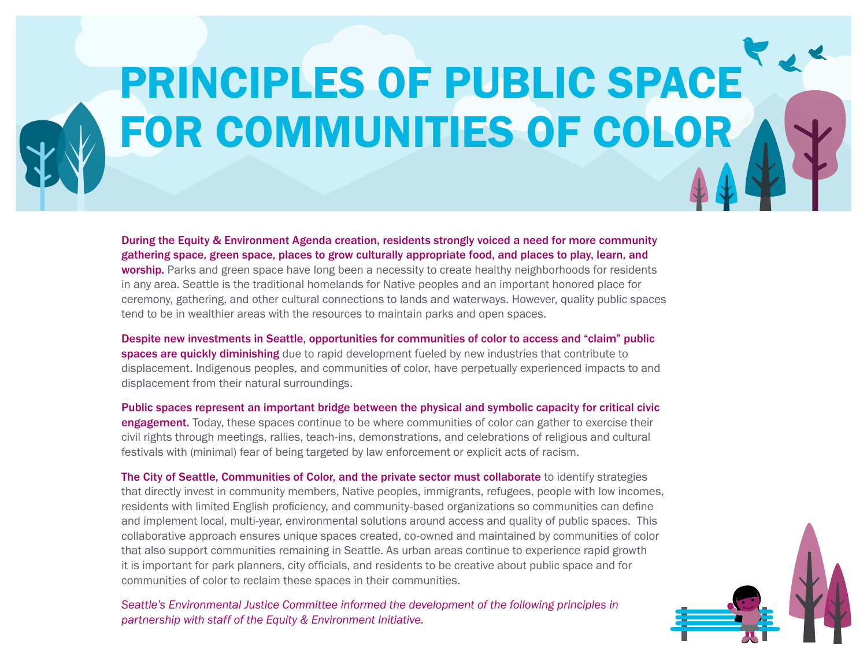## PRINCIPLES OF PUBLIC SPACE FOR COMMUNITIES OF COLOR

During the Equity & Environment Agenda creation, residents strongly voiced a need for more community gathering space, green space, places to grow culturally appropriate food, and places to play, learn, and worship. Parks and green space have long been a necessity to create healthy neighborhoods for residents in any area. Seattle is the traditional homelands for Native peoples and an important honored place for ceremony, gathering, and other cultural connections to lands and waterways. However, quality public spaces tend to be in wealthier areas with the resources to maintain parks and open spaces.

Despite new investments in Seattle, opportunities for communities of color to access and "claim" public spaces are quickly diminishing due to rapid development fueled by new industries that contribute to displacement. Indigenous peoples, and communities of color, have perpetually experienced impacts to and displacement from their natural surroundings.

Public spaces represent an important bridge between the physical and symbolic capacity for critical civic engagement. Today, these spaces continue to be where communities of color can gather to exercise their civil rights through meetings, rallies, teach-ins, demonstrations, and celebrations of religious and cultural festivals with (minimal) fear of being targeted by law enforcement or explicit acts of racism.

The City of Seattle, Communities of Color, and the private sector must collaborate to identify strategies that directly invest in community members, Native peoples, immigrants, refugees, people with low incomes, residents with limited English proficiency, and community-based organizations so communities can define and implement local, multi-year, environmental solutions around access and quality of public spaces. This collaborative approach ensures unique spaces created, co-owned and maintained by communities of color that also support communities remaining in Seattle. As urban areas continue to experience rapid growth it is important for park planners, city officials, and residents to be creative about public space and for communities of color to reclaim these spaces in their communities.

Seattle's Environmental Justice Committee informed the development of the following principles in partnership with staff of the Equity & Environment Initiative.

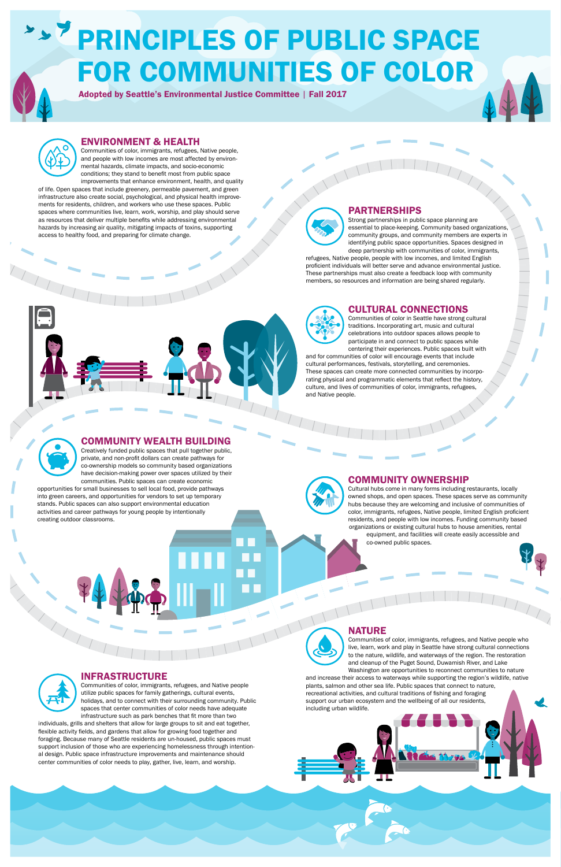### **PRINCIPLES OF PUBLIC SPACE** FOR COMMUNITIES OF COLOR

#### CULTURAL CONNECTIONS

Communities of color in Seattle have strong cultural traditions. Incorporating art, music and cultural celebrations into outdoor spaces allows people to participate in and connect to public spaces while centering their experiences. Public spaces built with

and for communities of color will encourage events that include cultural performances, festivals, storytelling, and ceremonies. These spaces can create more connected communities by incorporating physical and programmatic elements that reflect the history, culture, and lives of communities of color, immigrants, refugees, and Native people.



Communities of color, immigrants, refugees, and Native people utilize public spaces for family gatherings, cultural events, holidays, and to connect with their surrounding community. Public spaces that center communities of color needs have adequate infrastructure such as park benches that fit more than two

#### COMMUNITY OWNERSHIP

Cultural hubs come in many forms including restaurants, locally owned shops, and open spaces. These spaces serve as community hubs because they are welcoming and inclusive of communities of color, immigrants, refugees, Native people, limited English proficient residents, and people with low incomes. Funding community based organizations or existing cultural hubs to house amenities, rental equipment, and facilities will create easily accessible and co-owned public spaces.

NATURE



#### INFRASTRUCTURE

individuals, grills and shelters that allow for large groups to sit and eat together, flexible activity fields, and gardens that allow for growing food together and foraging. Because many of Seattle residents are un-housed, public spaces must support inclusion of those who are experiencing homelessness through intentional design. Public space infrastructure improvements and maintenance should center communities of color needs to play, gather, live, learn, and worship.

#### COMMUNITY WEALTH BUILDING

Creatively funded public spaces that pull together public, private, and non-profit dollars can create pathways for co-ownership models so community based organizations have decision-making power over spaces utilized by their communities. Public spaces can create economic

opportunities for small businesses to sell local food, provide pathways into green careers, and opportunities for vendors to set up temporary stands. Public spaces can also support environmental education activities and career pathways for young people by intentionally creating outdoor classrooms.



Communities of color, immigrants, refugees, and Native people who live, learn, work and play in Seattle have strong cultural connections to the nature, wildlife, and waterways of the region. The restoration and cleanup of the Puget Sound, Duwamish River, and Lake Washington are opportunities to reconnect communities to nature

and increase their access to waterways while supporting the region's wildlife, native plants, salmon and other sea life. Public spaces that connect to nature, recreational activities, and cultural traditions of fishing and foraging support our urban ecosystem and the wellbeing of all our residents, including urban wildlife.

Adopted by Seattle's Environmental Justice Committee | Fall 2017



#### ENVIRONMENT & HEALTH

Communities of color, immigrants, refugees, Native people, and people with low incomes are most affected by environmental hazards, climate impacts, and socio-economic conditions; they stand to benefit most from public space improvements that enhance environment, health, and quality

of life. Open spaces that include greenery, permeable pavement, and green infrastructure also create social, psychological, and physical health improvements for residents, children, and workers who use these spaces. Public spaces where communities live, learn, work, worship, and play should serve as resources that deliver multiple benefits while addressing environmental hazards by increasing air quality, mitigating impacts of toxins, supporting access to healthy food, and preparing for climate change.



#### PARTNERSHIPS

Strong partnerships in public space planning are essential to place-keeping. Community based organizations, community groups, and community members are experts in identifying public space opportunities. Spaces designed in deep partnership with communities of color, immigrants,

refugees, Native people, people with low incomes, and limited English proficient individuals will better serve and advance environmental justice. These partnerships must also create a feedback loop with community members, so resources and information are being shared regularly.